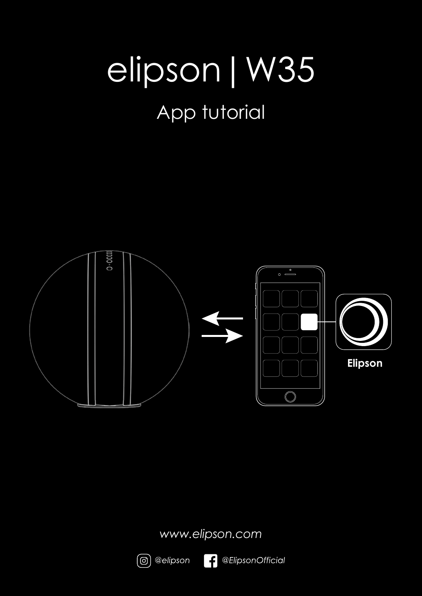# elipson|W35

## App tutorial



*www.elipson.com*

l f

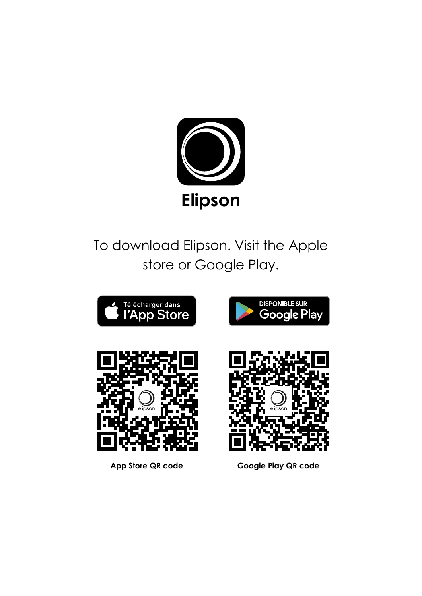

## To download Elipson. Visit the Apple store or Google Play.

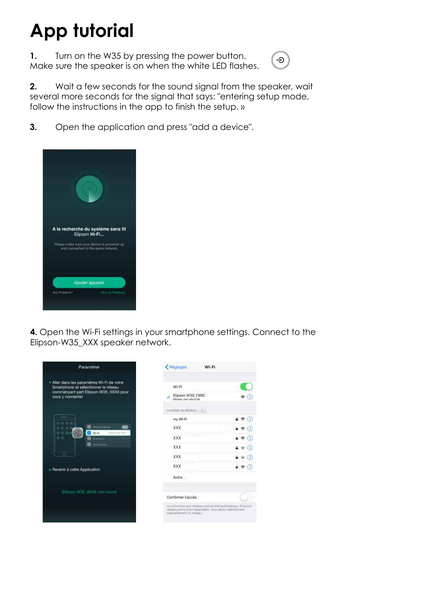# **App tutorial**

**1.** Turn on the W35 by pressing the power button. Make sure the speaker is on when the white LED flashes.



**2.** Wait a few seconds for the sound signal from the speaker, wait several more seconds for the signal that says: "entering setup mode, follow the instructions in the app to finish the setup. »

**3.** Open the application and press "add a device".



**4.** Open the Wi-Fi settings in your smartphone settings. Connect to the Elipson-W35\_XXX speaker network.

 $\triangleleft$  (i)

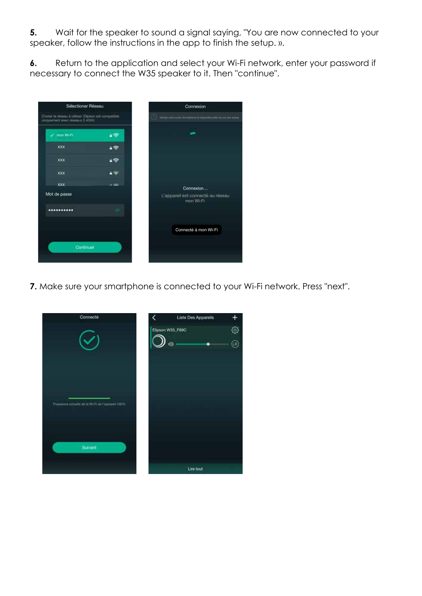**5.** Wait for the speaker to sound a signal saying, "You are now connected to your speaker, follow the instructions in the app to finish the setup. ».

**6.** Return to the application and select your Wi-Fi network, enter your password if necessary to connect the W35 speaker to it. Then "continue".



**7.** Make sure your smartphone is connected to your Wi-Fi network. Press "next".

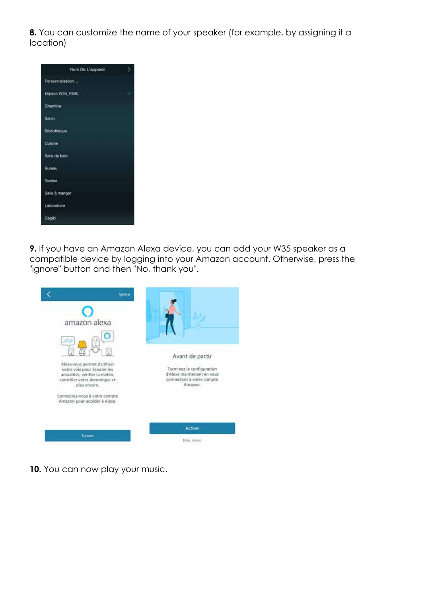**8.** You can customize the name of your speaker (for example, by assigning it a location)

| Nom De L'appareil | ١, |
|-------------------|----|
| Personnalisation  |    |
| Elipson W35_F89C  | Ü, |
| Chambre           |    |
| Salon             |    |
| Bibliothèque      |    |
| Cuisine           |    |
| Salle de bain     |    |
| Bureau            |    |
| Tanière           |    |
| Salle à manger    |    |
| Laboratoire       |    |
| Cagibi            |    |

**9.** If you have an Amazon Alexa device, you can add your W35 speaker as a compatible device by logging into your Amazon account. Otherwise, press the "ignore" button and then "No, thank you".



**10.** You can now play your music.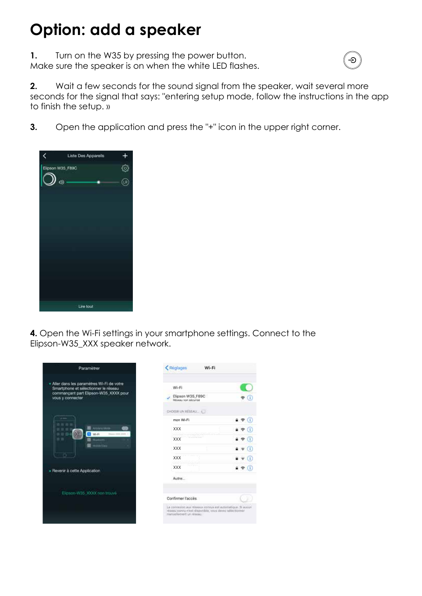#### **Option: add a speaker**

**1.** Turn on the W35 by pressing the power button. Make sure the speaker is on when the white LED flashes.



**2.** Wait a few seconds for the sound signal from the speaker, wait several more seconds for the signal that says: "entering setup mode, follow the instructions in the app to finish the setup. »

**3.** Open the application and press the "+" icon in the upper right corner.



**4.** Open the Wi-Fi settings in your smartphone settings. Connect to the Elipson-W35\_XXX speaker network.

 $\bullet$  (i)

 $\bullet$   $\circ$   $\circ$  $490$ 

 $990$  $\bullet$   $\bullet$   $\circ$  $\bullet \bullet 0$  $4 \cdot 0$ 

 $-510$ 

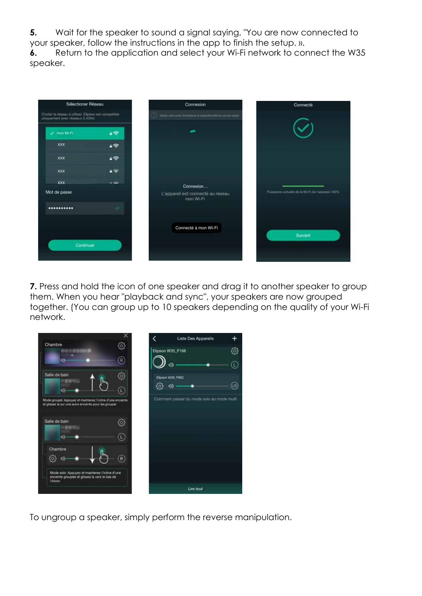**5.** Wait for the speaker to sound a signal saying, "You are now connected to your speaker, follow the instructions in the app to finish the setup. ».

**6.** Return to the application and select your Wi-Fi network to connect the W35 speaker.



**7.** Press and hold the icon of one speaker and drag it to another speaker to group them. When you hear "playback and sync", your speakers are now grouped together. (You can group up to 10 speakers depending on the quality of your Wi-Fi network.



To ungroup a speaker, simply perform the reverse manipulation.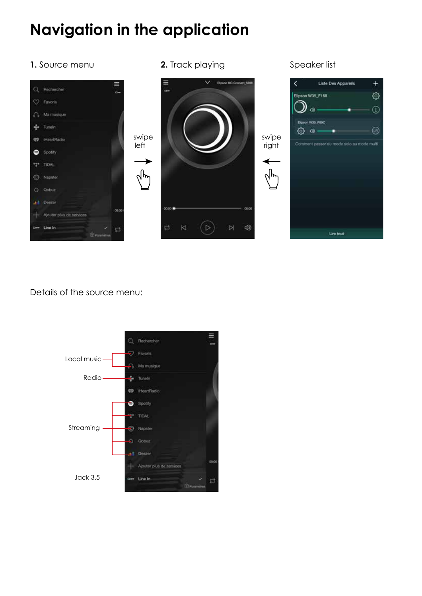## **Navigation in the application**

#### **1.** Source menu







#### Details of the source menu: